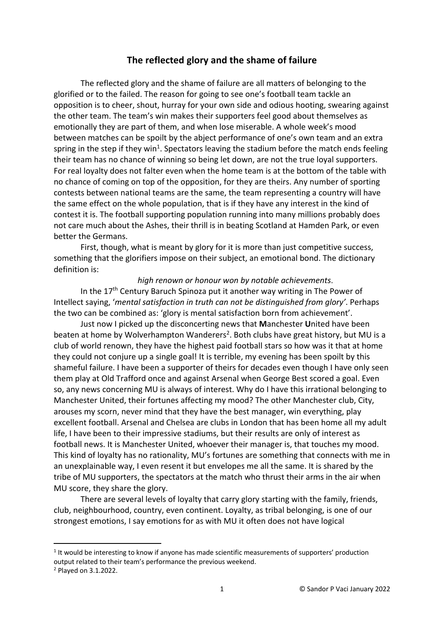## **The reflected glory and the shame of failure**

The reflected glory and the shame of failure are all matters of belonging to the glorified or to the failed. The reason for going to see one's football team tackle an opposition is to cheer, shout, hurray for your own side and odious hooting, swearing against the other team. The team's win makes their supporters feel good about themselves as emotionally they are part of them, and when lose miserable. A whole week's mood between matches can be spoilt by the abject performance of one's own team and an extra spring in the step if they win<sup>1</sup>. Spectators leaving the stadium before the match ends feeling their team has no chance of winning so being let down, are not the true loyal supporters. For real loyalty does not falter even when the home team is at the bottom of the table with no chance of coming on top of the opposition, for they are theirs. Any number of sporting contests between national teams are the same, the team representing a country will have the same effect on the whole population, that is if they have any interest in the kind of contest it is. The football supporting population running into many millions probably does not care much about the Ashes, their thrill is in beating Scotland at Hamden Park, or even better the Germans.

First, though, what is meant by glory for it is more than just competitive success, something that the glorifiers impose on their subject, an emotional bond. The dictionary definition is:

## *high renown or honour won by notable achievements*.

In the  $17<sup>th</sup>$  Century Baruch Spinoza put it another way writing in The Power of Intellect saying, '*mental satisfaction in truth can not be distinguished from glory'*. Perhaps the two can be combined as: 'glory is mental satisfaction born from achievement'.

Just now I picked up the disconcerting news that **M**anchester **U**nited have been beaten at home by Wolverhampton Wanderers<sup>2</sup>. Both clubs have great history, but MU is a club of world renown, they have the highest paid football stars so how was it that at home they could not conjure up a single goal! It is terrible, my evening has been spoilt by this shameful failure. I have been a supporter of theirs for decades even though I have only seen them play at Old Trafford once and against Arsenal when George Best scored a goal. Even so, any news concerning MU is always of interest. Why do I have this irrational belonging to Manchester United, their fortunes affecting my mood? The other Manchester club, City, arouses my scorn, never mind that they have the best manager, win everything, play excellent football. Arsenal and Chelsea are clubs in London that has been home all my adult life, I have been to their impressive stadiums, but their results are only of interest as football news. It is Manchester United, whoever their manager is, that touches my mood. This kind of loyalty has no rationality, MU's fortunes are something that connects with me in an unexplainable way, I even resent it but envelopes me all the same. It is shared by the tribe of MU supporters, the spectators at the match who thrust their arms in the air when MU score, they share the glory.

There are several levels of loyalty that carry glory starting with the family, friends, club, neighbourhood, country, even continent. Loyalty, as tribal belonging, is one of our strongest emotions, I say emotions for as with MU it often does not have logical

 $1$  It would be interesting to know if anyone has made scientific measurements of supporters' production output related to their team's performance the previous weekend.

<sup>2</sup> Played on 3.1.2022.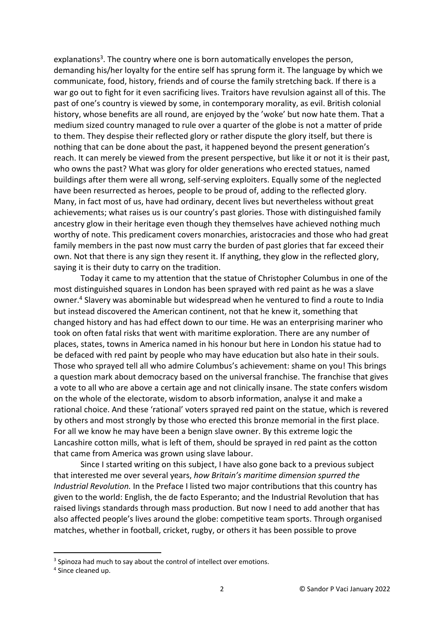explanations<sup>3</sup>. The country where one is born automatically envelopes the person, demanding his/her loyalty for the entire self has sprung form it. The language by which we communicate, food, history, friends and of course the family stretching back. If there is a war go out to fight for it even sacrificing lives. Traitors have revulsion against all of this. The past of one's country is viewed by some, in contemporary morality, as evil. British colonial history, whose benefits are all round, are enjoyed by the 'woke' but now hate them. That a medium sized country managed to rule over a quarter of the globe is not a matter of pride to them. They despise their reflected glory or rather dispute the glory itself, but there is nothing that can be done about the past, it happened beyond the present generation's reach. It can merely be viewed from the present perspective, but like it or not it is their past, who owns the past? What was glory for older generations who erected statues, named buildings after them were all wrong, self-serving exploiters. Equally some of the neglected have been resurrected as heroes, people to be proud of, adding to the reflected glory. Many, in fact most of us, have had ordinary, decent lives but nevertheless without great achievements; what raises us is our country's past glories. Those with distinguished family ancestry glow in their heritage even though they themselves have achieved nothing much worthy of note. This predicament covers monarchies, aristocracies and those who had great family members in the past now must carry the burden of past glories that far exceed their own. Not that there is any sign they resent it. If anything, they glow in the reflected glory, saying it is their duty to carry on the tradition.

Today it came to my attention that the statue of Christopher Columbus in one of the most distinguished squares in London has been sprayed with red paint as he was a slave owner. <sup>4</sup> Slavery was abominable but widespread when he ventured to find a route to India but instead discovered the American continent, not that he knew it, something that changed history and has had effect down to our time. He was an enterprising mariner who took on often fatal risks that went with maritime exploration. There are any number of places, states, towns in America named in his honour but here in London his statue had to be defaced with red paint by people who may have education but also hate in their souls. Those who sprayed tell all who admire Columbus's achievement: shame on you! This brings a question mark about democracy based on the universal franchise. The franchise that gives a vote to all who are above a certain age and not clinically insane. The state confers wisdom on the whole of the electorate, wisdom to absorb information, analyse it and make a rational choice. And these 'rational' voters sprayed red paint on the statue, which is revered by others and most strongly by those who erected this bronze memorial in the first place. For all we know he may have been a benign slave owner. By this extreme logic the Lancashire cotton mills, what is left of them, should be sprayed in red paint as the cotton that came from America was grown using slave labour.

Since I started writing on this subject, I have also gone back to a previous subject that interested me over several years, *how Britain's maritime dimension spurred the Industrial Revolution.* In the Preface I listed two major contributions that this country has given to the world: English, the de facto Esperanto; and the Industrial Revolution that has raised livings standards through mass production. But now I need to add another that has also affected people's lives around the globe: competitive team sports. Through organised matches, whether in football, cricket, rugby, or others it has been possible to prove

<sup>&</sup>lt;sup>3</sup> Spinoza had much to say about the control of intellect over emotions.

<sup>4</sup> Since cleaned up.